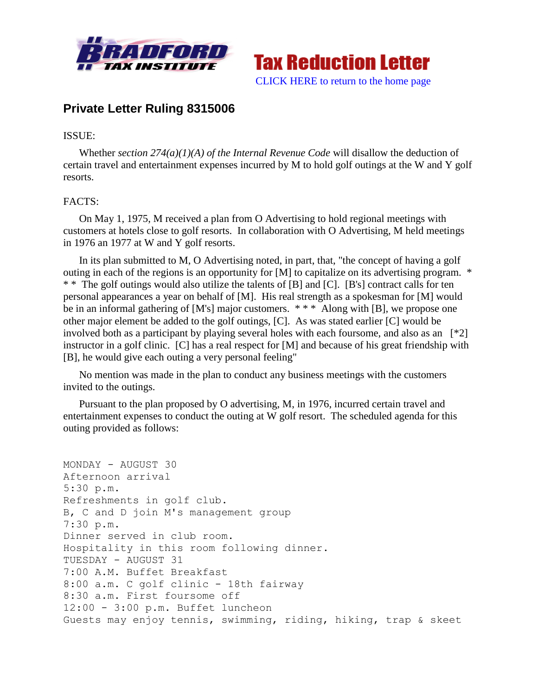



# **Private Letter Ruling 8315006**

### ISSUE:

Whether *section 274(a)(1)(A) of the Internal Revenue Code* will disallow the deduction of certain travel and entertainment expenses incurred by M to hold golf outings at the W and Y golf resorts.

## FACTS:

On May 1, 1975, M received a plan from O Advertising to hold regional meetings with customers at hotels close to golf resorts. In collaboration with O Advertising, M held meetings in 1976 an 1977 at W and Y golf resorts.

In its plan submitted to M, O Advertising noted, in part, that, "the concept of having a golf outing in each of the regions is an opportunity for [M] to capitalize on its advertising program. \* \* \* The golf outings would also utilize the talents of [B] and [C]. [B's] contract calls for ten personal appearances a year on behalf of [M]. His real strength as a spokesman for [M] would be in an informal gathering of [M's] major customers. \*\*\* Along with [B], we propose one other major element be added to the golf outings, [C]. As was stated earlier [C] would be involved both as a participant by playing several holes with each foursome, and also as an [\*2] instructor in a golf clinic. [C] has a real respect for [M] and because of his great friendship with [B], he would give each outing a very personal feeling"

No mention was made in the plan to conduct any business meetings with the customers invited to the outings.

Pursuant to the plan proposed by O advertising, M, in 1976, incurred certain travel and entertainment expenses to conduct the outing at W golf resort. The scheduled agenda for this outing provided as follows:

```
MONDAY - AUGUST 30 
Afternoon arrival 
5:30 p.m. 
Refreshments in golf club.
B, C and D join M's management group 
7:30 p.m. 
Dinner served in club room. 
Hospitality in this room following dinner. 
TUESDAY - AUGUST 31 
7:00 A.M. Buffet Breakfast 
8:00 a.m. C golf clinic - 18th fairway
8:30 a.m. First foursome off 
12:00 - 3:00 p.m. Buffet luncheon 
Guests may enjoy tennis, swimming, riding, hiking, trap & skeet
```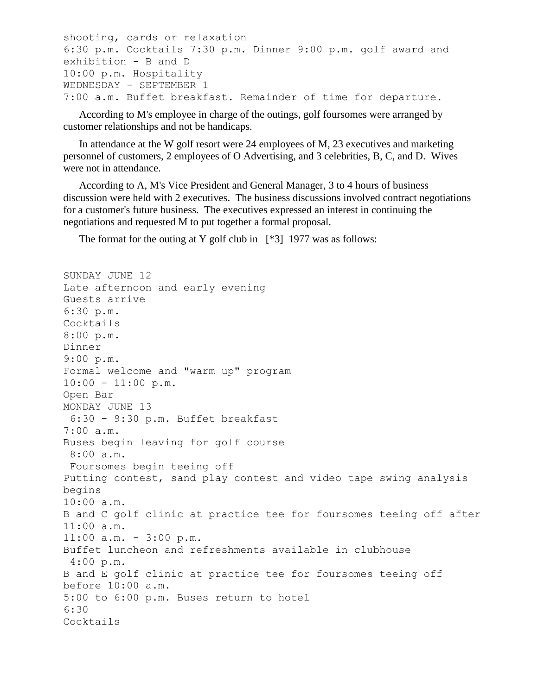```
shooting, cards or relaxation 
6:30 p.m. Cocktails 7:30 p.m. Dinner 9:00 p.m. golf award and 
exhibition - B and D 
10:00 p.m. Hospitality 
WEDNESDAY - SEPTEMBER 1
7:00 a.m. Buffet breakfast. Remainder of time for departure.
```
According to M's employee in charge of the outings, golf foursomes were arranged by customer relationships and not be handicaps.

In attendance at the W golf resort were 24 employees of M, 23 executives and marketing personnel of customers, 2 employees of O Advertising, and 3 celebrities, B, C, and D. Wives were not in attendance.

According to A, M's Vice President and General Manager, 3 to 4 hours of business discussion were held with 2 executives. The business discussions involved contract negotiations for a customer's future business. The executives expressed an interest in continuing the negotiations and requested M to put together a formal proposal.

The format for the outing at Y golf club in  $[*3]$  1977 was as follows:

```
SUNDAY JUNE 12 
Late afternoon and early evening 
Guests arrive 
6:30 p.m. 
Cocktails 
8:00 p.m. 
Dinner 
9:00 p.m. 
Formal welcome and "warm up" program 
10:00 - 11:00 \text{ p.m.}Open Bar 
MONDAY JUNE 13 
6:30 - 9:30 p.m. Buffet breakfast 
7:00 a.m.
Buses begin leaving for golf course 
 8:00 a.m. 
 Foursomes begin teeing off 
Putting contest, sand play contest and video tape swing analysis 
begins 
10:00 a.m. 
B and C golf clinic at practice tee for foursomes teeing off after 
11:00 a.m. 
11:00 a.m. - 3:00 p.m. 
Buffet luncheon and refreshments available in clubhouse 
4:00 p.m. 
B and E golf clinic at practice tee for foursomes teeing off 
before 10:00 a.m.
5:00 to 6:00 p.m. Buses return to hotel 
6:30 
Cocktails
```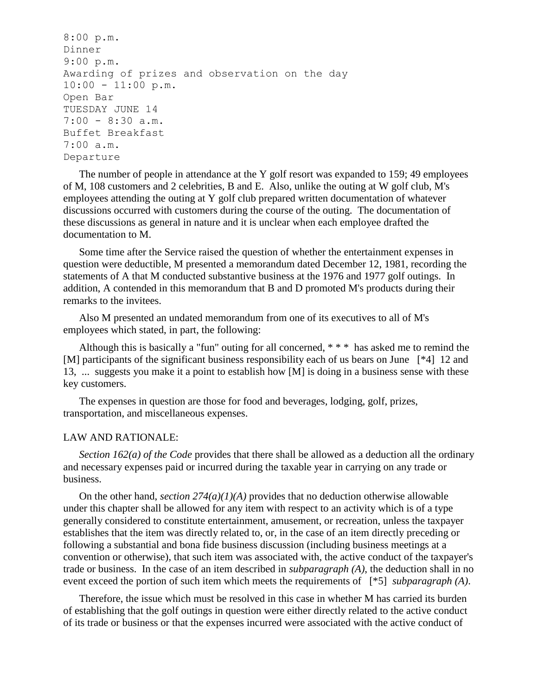```
8:00 p.m. 
Dinner 
9:00 p.m. 
Awarding of prizes and observation on the day 
10:00 - 11:00 \text{ p.m.}Open Bar 
TUESDAY JUNE 14 
7:00 - 8:30 a.m. 
Buffet Breakfast 
7:00 a.m. 
Departure
```
The number of people in attendance at the Y golf resort was expanded to 159; 49 employees of M, 108 customers and 2 celebrities, B and E. Also, unlike the outing at W golf club, M's employees attending the outing at Y golf club prepared written documentation of whatever discussions occurred with customers during the course of the outing. The documentation of these discussions as general in nature and it is unclear when each employee drafted the documentation to M.

Some time after the Service raised the question of whether the entertainment expenses in question were deductible, M presented a memorandum dated December 12, 1981, recording the statements of A that M conducted substantive business at the 1976 and 1977 golf outings. In addition, A contended in this memorandum that B and D promoted M's products during their remarks to the invitees.

Also M presented an undated memorandum from one of its executives to all of M's employees which stated, in part, the following:

Although this is basically a "fun" outing for all concerned, \* \* \* has asked me to remind the [M] participants of the significant business responsibility each of us bears on June [\*4] 12 and 13, ... suggests you make it a point to establish how [M] is doing in a business sense with these key customers.

The expenses in question are those for food and beverages, lodging, golf, prizes, transportation, and miscellaneous expenses.

#### LAW AND RATIONALE:

*Section 162(a) of the Code* provides that there shall be allowed as a deduction all the ordinary and necessary expenses paid or incurred during the taxable year in carrying on any trade or business.

On the other hand, *section*  $274(a)(1)(A)$  provides that no deduction otherwise allowable under this chapter shall be allowed for any item with respect to an activity which is of a type generally considered to constitute entertainment, amusement, or recreation, unless the taxpayer establishes that the item was directly related to, or, in the case of an item directly preceding or following a substantial and bona fide business discussion (including business meetings at a convention or otherwise), that such item was associated with, the active conduct of the taxpayer's trade or business. In the case of an item described in *subparagraph (A)*, the deduction shall in no event exceed the portion of such item which meets the requirements of [\*5] *subparagraph (A)*.

Therefore, the issue which must be resolved in this case in whether M has carried its burden of establishing that the golf outings in question were either directly related to the active conduct of its trade or business or that the expenses incurred were associated with the active conduct of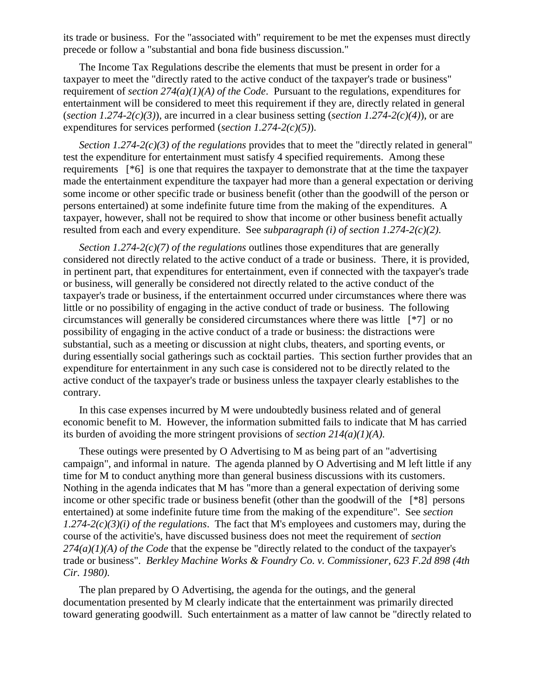its trade or business. For the "associated with" requirement to be met the expenses must directly precede or follow a "substantial and bona fide business discussion."

The Income Tax Regulations describe the elements that must be present in order for a taxpayer to meet the "directly rated to the active conduct of the taxpayer's trade or business" requirement of *section 274(a)(1)(A) of the Code*. Pursuant to the regulations, expenditures for entertainment will be considered to meet this requirement if they are, directly related in general (*section 1.274-2(c)(3)*), are incurred in a clear business setting (*section 1.274-2(c)(4)*), or are expenditures for services performed (*section 1.274-2(c)(5)*).

*Section 1.274-2(c)(3) of the regulations* provides that to meet the "directly related in general" test the expenditure for entertainment must satisfy 4 specified requirements. Among these requirements [\*6] is one that requires the taxpayer to demonstrate that at the time the taxpayer made the entertainment expenditure the taxpayer had more than a general expectation or deriving some income or other specific trade or business benefit (other than the goodwill of the person or persons entertained) at some indefinite future time from the making of the expenditures. A taxpayer, however, shall not be required to show that income or other business benefit actually resulted from each and every expenditure. See *subparagraph (i) of section 1.274-2(c)(2)*.

*Section 1.274-2(c)(7) of the regulations* outlines those expenditures that are generally considered not directly related to the active conduct of a trade or business. There, it is provided, in pertinent part, that expenditures for entertainment, even if connected with the taxpayer's trade or business, will generally be considered not directly related to the active conduct of the taxpayer's trade or business, if the entertainment occurred under circumstances where there was little or no possibility of engaging in the active conduct of trade or business. The following circumstances will generally be considered circumstances where there was little [\*7] or no possibility of engaging in the active conduct of a trade or business: the distractions were substantial, such as a meeting or discussion at night clubs, theaters, and sporting events, or during essentially social gatherings such as cocktail parties. This section further provides that an expenditure for entertainment in any such case is considered not to be directly related to the active conduct of the taxpayer's trade or business unless the taxpayer clearly establishes to the contrary.

In this case expenses incurred by M were undoubtedly business related and of general economic benefit to M. However, the information submitted fails to indicate that M has carried its burden of avoiding the more stringent provisions of *section 214(a)(1)(A)*.

These outings were presented by O Advertising to M as being part of an "advertising campaign", and informal in nature. The agenda planned by O Advertising and M left little if any time for M to conduct anything more than general business discussions with its customers. Nothing in the agenda indicates that M has "more than a general expectation of deriving some income or other specific trade or business benefit (other than the goodwill of the [\*8] persons entertained) at some indefinite future time from the making of the expenditure". See *section 1.274-2(c)(3)(i) of the regulations*. The fact that M's employees and customers may, during the course of the activitie's, have discussed business does not meet the requirement of *section 274(a)(1)(A) of the Code* that the expense be "directly related to the conduct of the taxpayer's trade or business". *Berkley Machine Works & Foundry Co. v. Commissioner, 623 F.2d 898 (4th Cir. 1980)*.

The plan prepared by O Advertising, the agenda for the outings, and the general documentation presented by M clearly indicate that the entertainment was primarily directed toward generating goodwill. Such entertainment as a matter of law cannot be "directly related to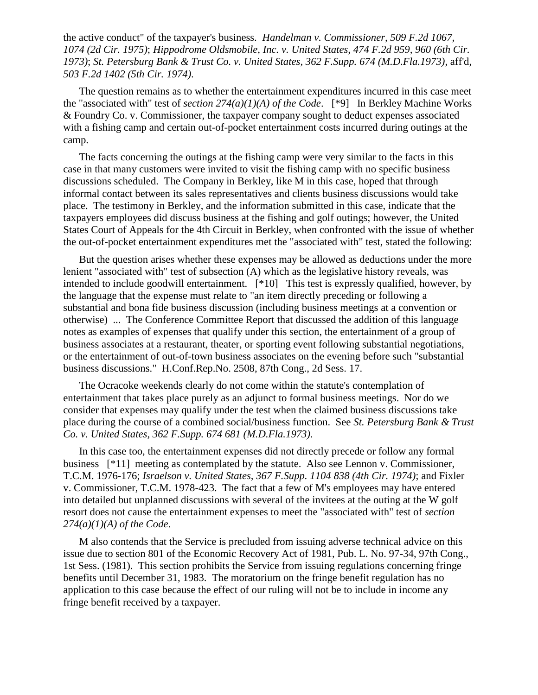the active conduct" of the taxpayer's business. *Handelman v. Commissioner, 509 F.2d 1067, 1074 (2d Cir. 1975)*; *Hippodrome Oldsmobile, Inc. v. United States, 474 F.2d 959, 960 (6th Cir. 1973)*; *St. Petersburg Bank & Trust Co. v. United States, 362 F.Supp. 674 (M.D.Fla.1973)*, aff'd, *503 F.2d 1402 (5th Cir. 1974)*.

The question remains as to whether the entertainment expenditures incurred in this case meet the "associated with" test of *section 274(a)(1)(A) of the Code*. [\*9] In Berkley Machine Works & Foundry Co. v. Commissioner, the taxpayer company sought to deduct expenses associated with a fishing camp and certain out-of-pocket entertainment costs incurred during outings at the camp.

The facts concerning the outings at the fishing camp were very similar to the facts in this case in that many customers were invited to visit the fishing camp with no specific business discussions scheduled. The Company in Berkley, like M in this case, hoped that through informal contact between its sales representatives and clients business discussions would take place. The testimony in Berkley, and the information submitted in this case, indicate that the taxpayers employees did discuss business at the fishing and golf outings; however, the United States Court of Appeals for the 4th Circuit in Berkley, when confronted with the issue of whether the out-of-pocket entertainment expenditures met the "associated with" test, stated the following:

But the question arises whether these expenses may be allowed as deductions under the more lenient "associated with" test of subsection (A) which as the legislative history reveals, was intended to include goodwill entertainment. [\*10] This test is expressly qualified, however, by the language that the expense must relate to "an item directly preceding or following a substantial and bona fide business discussion (including business meetings at a convention or otherwise) ... The Conference Committee Report that discussed the addition of this language notes as examples of expenses that qualify under this section, the entertainment of a group of business associates at a restaurant, theater, or sporting event following substantial negotiations, or the entertainment of out-of-town business associates on the evening before such "substantial business discussions." H.Conf.Rep.No. 2508, 87th Cong., 2d Sess. 17.

The Ocracoke weekends clearly do not come within the statute's contemplation of entertainment that takes place purely as an adjunct to formal business meetings. Nor do we consider that expenses may qualify under the test when the claimed business discussions take place during the course of a combined social/business function. See *St. Petersburg Bank & Trust Co. v. United States, 362 F.Supp. 674 681 (M.D.Fla.1973)*.

In this case too, the entertainment expenses did not directly precede or follow any formal business [\*11] meeting as contemplated by the statute. Also see Lennon v. Commissioner, T.C.M. 1976-176; *Israelson v. United States, 367 F.Supp. 1104 838 (4th Cir. 1974)*; and Fixler v. Commissioner, T.C.M. 1978-423. The fact that a few of M's employees may have entered into detailed but unplanned discussions with several of the invitees at the outing at the W golf resort does not cause the entertainment expenses to meet the "associated with" test of *section 274(a)(1)(A) of the Code*.

M also contends that the Service is precluded from issuing adverse technical advice on this issue due to section 801 of the Economic Recovery Act of 1981, Pub. L. No. 97-34, 97th Cong., 1st Sess. (1981). This section prohibits the Service from issuing regulations concerning fringe benefits until December 31, 1983. The moratorium on the fringe benefit regulation has no application to this case because the effect of our ruling will not be to include in income any fringe benefit received by a taxpayer.